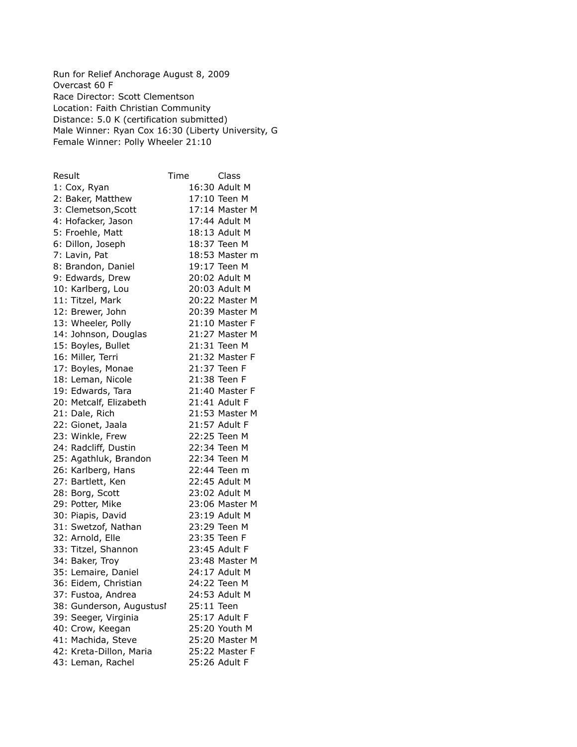Run for Relief Anchorage August 8, 2009 Overcast 60 F Race Director: Scott Clementson Location: Faith Christian Community Distance: 5.0 K (certification submitted) Male Winner: Ryan Cox 16:30 (Liberty University, G Female Winner: Polly Wheeler 21:10

| Result                   | Time       | Class          |
|--------------------------|------------|----------------|
| 1: Cox, Ryan             |            | 16:30 Adult M  |
| 2: Baker, Matthew        |            | 17:10 Teen M   |
| 3: Clemetson, Scott      |            | 17:14 Master M |
| 4: Hofacker, Jason       |            | 17:44 Adult M  |
| 5: Froehle, Matt         |            | 18:13 Adult M  |
| 6: Dillon, Joseph        |            | 18:37 Teen M   |
| 7: Lavin, Pat            |            | 18:53 Master m |
| 8: Brandon, Daniel       |            | 19:17 Teen M   |
| 9: Edwards, Drew         |            | 20:02 Adult M  |
| 10: Karlberg, Lou        |            | 20:03 Adult M  |
| 11: Titzel, Mark         |            | 20:22 Master M |
| 12: Brewer, John         |            | 20:39 Master M |
| 13: Wheeler, Polly       |            | 21:10 Master F |
| 14: Johnson, Douglas     |            | 21:27 Master M |
| 15: Boyles, Bullet       |            | 21:31 Teen M   |
| 16: Miller, Terri        |            | 21:32 Master F |
| 17: Boyles, Monae        |            | 21:37 Teen F   |
| 18: Leman, Nicole        |            | 21:38 Teen F   |
| 19: Edwards, Tara        |            | 21:40 Master F |
| 20: Metcalf, Elizabeth   |            | 21:41 Adult F  |
| 21: Dale, Rich           |            | 21:53 Master M |
| 22: Gionet, Jaala        |            | 21:57 Adult F  |
| 23: Winkle, Frew         |            | 22:25 Teen M   |
| 24: Radcliff, Dustin     |            | 22:34 Teen M   |
| 25: Agathluk, Brandon    |            | 22:34 Teen M   |
| 26: Karlberg, Hans       |            | 22:44 Teen m   |
| 27: Bartlett, Ken        |            | 22:45 Adult M  |
| 28: Borg, Scott          |            | 23:02 Adult M  |
| 29: Potter, Mike         |            | 23:06 Master M |
| 30: Piapis, David        |            | 23:19 Adult M  |
| 31: Swetzof, Nathan      |            | 23:29 Teen M   |
| 32: Arnold, Elle         |            | 23:35 Teen F   |
| 33: Titzel, Shannon      |            | 23:45 Adult F  |
| 34: Baker, Troy          |            | 23:48 Master M |
| 35: Lemaire, Daniel      |            | 24:17 Adult M  |
| 36: Eidem, Christian     |            | 24:22 Teen M   |
| 37: Fustoa, Andrea       |            | 24:53 Adult M  |
| 38: Gunderson, Augustusl | 25:11 Teen |                |
| 39: Seeger, Virginia     |            | 25:17 Adult F  |
| 40: Crow, Keegan         |            | 25:20 Youth M  |
| 41: Machida, Steve       |            | 25:20 Master M |
| 42: Kreta-Dillon, Maria  |            | 25:22 Master F |
| 43: Leman, Rachel        |            | 25:26 Adult F  |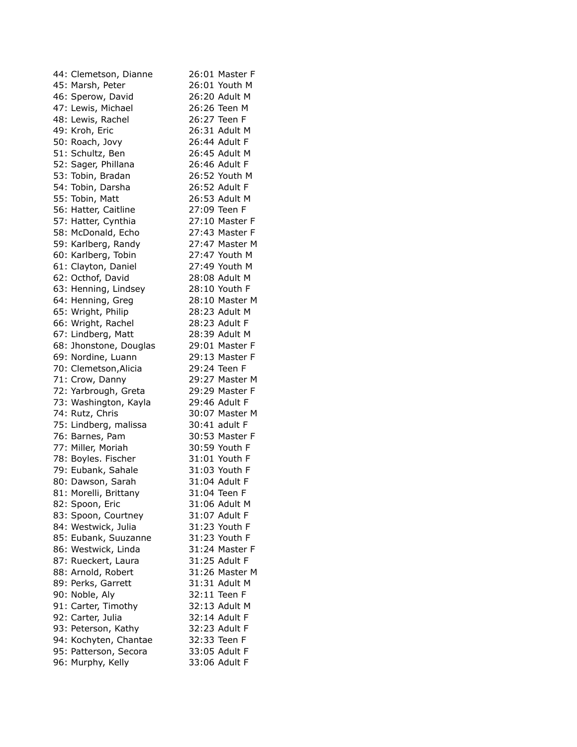| 44: Clemetson, Dianne                    | 26:01 Master F                 |
|------------------------------------------|--------------------------------|
| 45: Marsh, Peter                         | 26:01 Youth M                  |
| 46: Sperow, David                        | 26:20 Adult M                  |
| 47: Lewis, Michael                       | 26:26 Teen M                   |
| 48: Lewis, Rachel                        | 26:27 Teen F                   |
| 49: Kroh, Eric                           | 26:31 Adult M                  |
| 50: Roach, Jovy                          | 26:44 Adult F                  |
| 51: Schultz, Ben                         | 26:45 Adult M                  |
| 52: Sager, Phillana                      | 26:46 Adult F                  |
| 53: Tobin, Bradan                        | 26:52 Youth M                  |
| 54: Tobin, Darsha                        | 26:52 Adult F                  |
| 55: Tobin, Matt                          | 26:53 Adult M                  |
| 56: Hatter, Caitline                     | 27:09 Teen F                   |
| 57: Hatter, Cynthia                      | 27:10 Master F                 |
| 58: McDonald, Echo                       | 27:43 Master F                 |
| 59: Karlberg, Randy                      | 27:47 Master M                 |
| 60: Karlberg, Tobin                      | 27:47 Youth M                  |
| 61: Clayton, Daniel                      | 27:49 Youth M                  |
| 62: Octhof, David                        | 28:08 Adult M                  |
| 63: Henning, Lindsey                     | 28:10 Youth F                  |
| 64: Henning, Greg                        | 28:10 Master M                 |
| 65: Wright, Philip                       | 28:23 Adult M                  |
| 66: Wright, Rachel                       | 28:23 Adult F                  |
| 67: Lindberg, Matt                       | 28:39 Adult M                  |
|                                          | 29:01 Master F                 |
| 68: Jhonstone, Douglas                   | 29:13 Master F                 |
| 69: Nordine, Luann                       | 29:24 Teen F                   |
| 70: Clemetson, Alicia                    | 29:27 Master M                 |
| 71: Crow, Danny<br>72: Yarbrough, Greta  | 29:29 Master F                 |
| 73: Washington, Kayla                    | 29:46 Adult F                  |
| 74: Rutz, Chris                          | 30:07 Master M                 |
|                                          | 30:41 adult F                  |
| 75: Lindberg, malissa<br>76: Barnes, Pam | 30:53 Master F                 |
|                                          |                                |
| 77: Miller, Moriah                       | 30:59 Youth F<br>31:01 Youth F |
| 78: Boyles. Fischer                      | 31:03 Youth F                  |
| 79: Eubank, Sahale                       |                                |
| 80: Dawson, Sarah                        | 31:04 Adult F                  |
| 81: Morelli, Brittany                    | 31:04 Teen F                   |
| 82: Spoon, Eric                          | 31:06 Adult M                  |
| 83: Spoon, Courtney                      | 31:07 Adult F                  |
| 84: Westwick, Julia                      | 31:23 Youth F                  |
| 85: Eubank, Suuzanne                     | 31:23 Youth F                  |
| 86: Westwick, Linda                      | 31:24 Master F                 |
| 87: Rueckert, Laura                      | 31:25 Adult F                  |
| 88: Arnold, Robert                       | 31:26 Master M                 |
| 89: Perks, Garrett                       | 31:31 Adult M                  |
| 90: Noble, Aly                           | 32:11 Teen F                   |
| 91: Carter, Timothy                      | 32:13 Adult M                  |
| 92: Carter, Julia                        | 32:14 Adult F                  |
| 93: Peterson, Kathy                      | 32:23 Adult F                  |
| 94: Kochyten, Chantae                    | 32:33 Teen F                   |
| 95: Patterson, Secora                    | 33:05 Adult F                  |
| 96: Murphy, Kelly                        | 33:06 Adult F                  |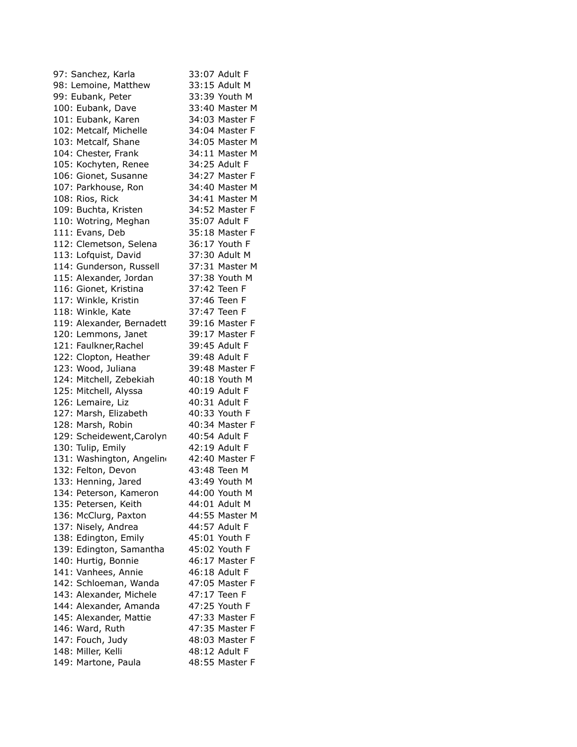| 97: Sanchez, Karla        | 33:07 Adult F  |
|---------------------------|----------------|
| 98: Lemoine, Matthew      | 33:15 Adult M  |
| 99: Eubank, Peter         | 33:39 Youth M  |
| 100: Eubank, Dave         | 33:40 Master M |
| 101: Eubank, Karen        | 34:03 Master F |
| 102: Metcalf, Michelle    | 34:04 Master F |
| 103: Metcalf, Shane       | 34:05 Master M |
| 104: Chester, Frank       | 34:11 Master M |
| 105: Kochyten, Renee      | 34:25 Adult F  |
| 106: Gionet, Susanne      | 34:27 Master F |
| 107: Parkhouse, Ron       | 34:40 Master M |
| 108: Rios, Rick           | 34:41 Master M |
| 109: Buchta, Kristen      | 34:52 Master F |
| 110: Wotring, Meghan      | 35:07 Adult F  |
| 111: Evans, Deb           | 35:18 Master F |
| 112: Clemetson, Selena    | 36:17 Youth F  |
|                           | 37:30 Adult M  |
| 113: Lofquist, David      | 37:31 Master M |
| 114: Gunderson, Russell   |                |
| 115: Alexander, Jordan    | 37:38 Youth M  |
| 116: Gionet, Kristina     | 37:42 Teen F   |
| 117: Winkle, Kristin      | 37:46 Teen F   |
| 118: Winkle, Kate         | 37:47 Teen F   |
| 119: Alexander, Bernadett | 39:16 Master F |
| 120: Lemmons, Janet       | 39:17 Master F |
| 121: Faulkner, Rachel     | 39:45 Adult F  |
| 122: Clopton, Heather     | 39:48 Adult F  |
| 123: Wood, Juliana        | 39:48 Master F |
| 124: Mitchell, Zebekiah   | 40:18 Youth M  |
| 125: Mitchell, Alyssa     | 40:19 Adult F  |
| 126: Lemaire, Liz         | 40:31 Adult F  |
| 127: Marsh, Elizabeth     | 40:33 Youth F  |
| 128: Marsh, Robin         | 40:34 Master F |
| 129: Scheidewent, Carolyn | 40:54 Adult F  |
| 130: Tulip, Emily         | 42:19 Adult F  |
| 131: Washington, Angelino | 42:40 Master F |
| 132: Felton, Devon        | 43:48 Teen M   |
| 133: Henning, Jared       | 43:49 Youth M  |
| 134: Peterson, Kameron    | 44:00 Youth M  |
| 135: Petersen, Keith      | 44:01 Adult M  |
| 136: McClurg, Paxton      | 44:55 Master M |
| 137: Nisely, Andrea       | 44:57 Adult F  |
| 138: Edington, Emily      | 45:01 Youth F  |
| 139: Edington, Samantha   | 45:02 Youth F  |
| 140: Hurtig, Bonnie       | 46:17 Master F |
| 141: Vanhees, Annie       | 46:18 Adult F  |
| 142: Schloeman, Wanda     | 47:05 Master F |
| 143: Alexander, Michele   | 47:17 Teen F   |
| 144: Alexander, Amanda    | 47:25 Youth F  |
| 145: Alexander, Mattie    | 47:33 Master F |
| 146: Ward, Ruth           | 47:35 Master F |
| 147: Fouch, Judy          | 48:03 Master F |
| 148: Miller, Kelli        | 48:12 Adult F  |
| 149: Martone, Paula       | 48:55 Master F |
|                           |                |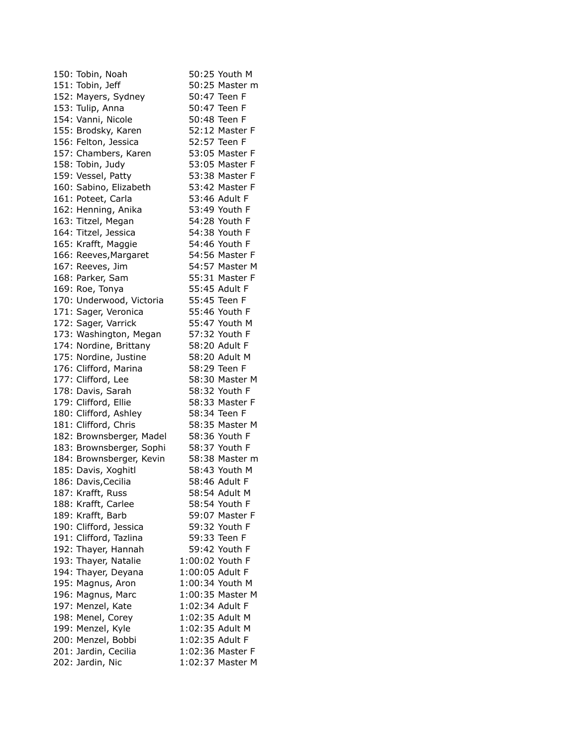| 150: Tobin, Noah         | 50:25 Youth M    |
|--------------------------|------------------|
| 151: Tobin, Jeff         | 50:25 Master m   |
| 152: Mayers, Sydney      | 50:47 Teen F     |
| 153: Tulip, Anna         | 50:47 Teen F     |
| 154: Vanni, Nicole       | 50:48 Teen F     |
| 155: Brodsky, Karen      | 52:12 Master F   |
| 156: Felton, Jessica     | 52:57 Teen F     |
| 157: Chambers, Karen     | 53:05 Master F   |
| 158: Tobin, Judy         | 53:05 Master F   |
| 159: Vessel, Patty       | 53:38 Master F   |
| 160: Sabino, Elizabeth   | 53:42 Master F   |
| 161: Poteet, Carla       | 53:46 Adult F    |
| 162: Henning, Anika      | 53:49 Youth F    |
| 163: Titzel, Megan       | 54:28 Youth F    |
| 164: Titzel, Jessica     | 54:38 Youth F    |
| 165: Krafft, Maggie      | 54:46 Youth F    |
| 166: Reeves, Margaret    | 54:56 Master F   |
| 167: Reeves, Jim         | 54:57 Master M   |
|                          | 55:31 Master F   |
| 168: Parker, Sam         | 55:45 Adult F    |
| 169: Roe, Tonya          |                  |
| 170: Underwood, Victoria | 55:45 Teen F     |
| 171: Sager, Veronica     | 55:46 Youth F    |
| 172: Sager, Varrick      | 55:47 Youth M    |
| 173: Washington, Megan   | 57:32 Youth F    |
| 174: Nordine, Brittany   | 58:20 Adult F    |
| 175: Nordine, Justine    | 58:20 Adult M    |
| 176: Clifford, Marina    | 58:29 Teen F     |
| 177: Clifford, Lee       | 58:30 Master M   |
| 178: Davis, Sarah        | 58:32 Youth F    |
| 179: Clifford, Ellie     | 58:33 Master F   |
| 180: Clifford, Ashley    | 58:34 Teen F     |
| 181: Clifford, Chris     | 58:35 Master M   |
| 182: Brownsberger, Madel | 58:36 Youth F    |
| 183: Brownsberger, Sophi | 58:37 Youth F    |
| 184: Brownsberger, Kevin | 58:38 Master m   |
| 185: Davis, Xoghitl      | 58:43 Youth M    |
| 186: Davis, Cecilia      | 58:46 Adult F    |
| 187: Krafft, Russ        | 58:54 Adult M    |
| 188: Krafft, Carlee      | 58:54 Youth F    |
| 189: Krafft, Barb        | 59:07 Master F   |
| 190: Clifford, Jessica   | 59:32 Youth F    |
| 191: Clifford, Tazlina   | 59:33 Teen F     |
| 192: Thayer, Hannah      | 59:42 Youth F    |
| 193: Thayer, Natalie     | 1:00:02 Youth F  |
| 194: Thayer, Deyana      | 1:00:05 Adult F  |
| 195: Magnus, Aron        | 1:00:34 Youth M  |
| 196: Magnus, Marc        | 1:00:35 Master M |
| 197: Menzel, Kate        | 1:02:34 Adult F  |
| 198: Menel, Corey        | 1:02:35 Adult M  |
| 199: Menzel, Kyle        | 1:02:35 Adult M  |
| 200: Menzel, Bobbi       | 1:02:35 Adult F  |
| 201: Jardin, Cecilia     | 1:02:36 Master F |
| 202: Jardin, Nic         | 1:02:37 Master M |
|                          |                  |